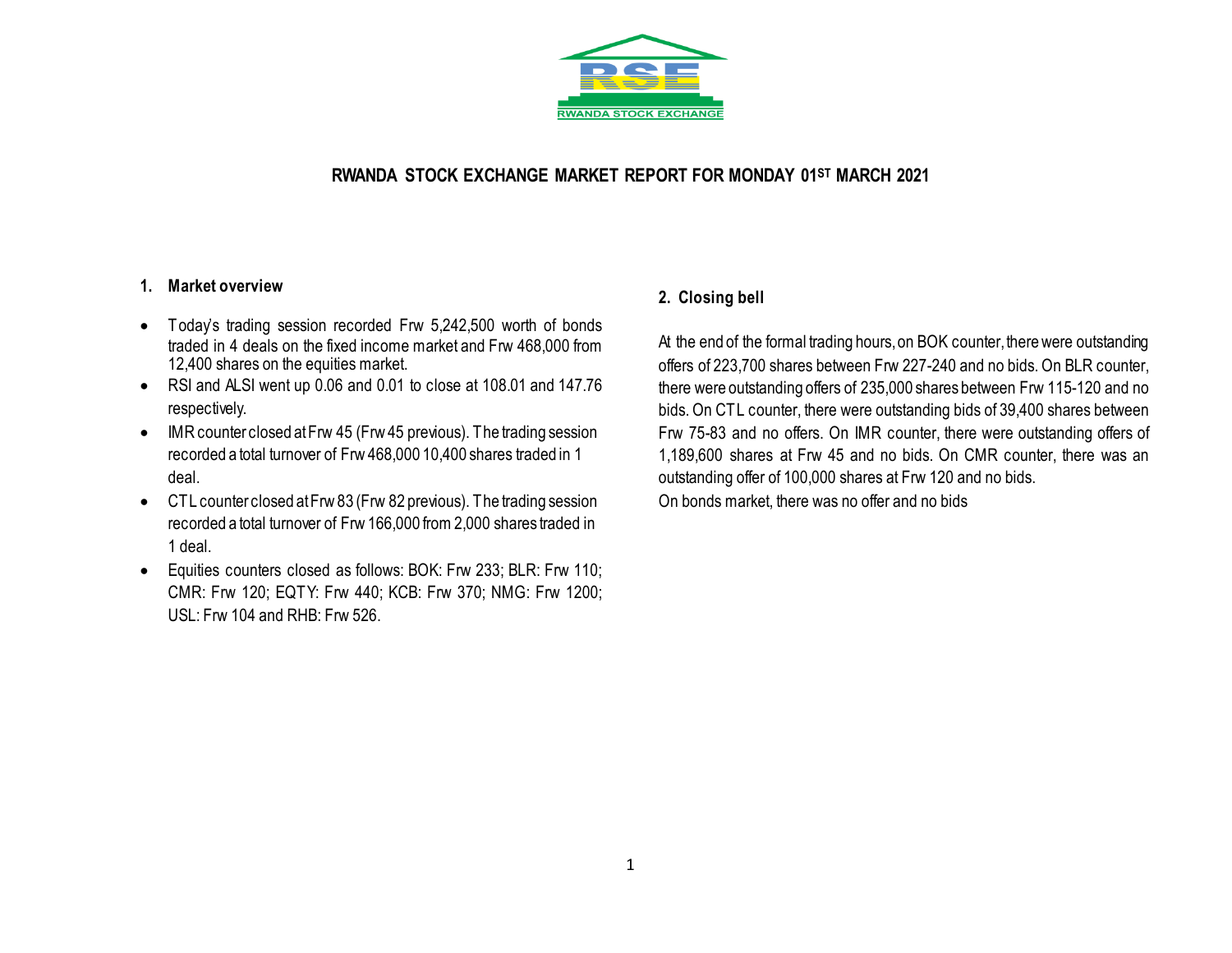

# **RWANDA STOCK EXCHANGE MARKET REPORT FOR MONDAY 01ST MARCH 2021**

## **1. Market overview**

- Today's trading session recorded Frw 5,242,500 worth of bonds traded in 4 deals on the fixed income market and Frw 468,000 from 12,400 shares on the equities market.
- RSI and ALSI went up 0.06 and 0.01 to close at 108.01 and 147.76 respectively.
- IMR counter closed at Frw 45 (Frw 45 previous). The trading session recorded a total turnover of Frw 468,000 10,400 shares traded in 1 deal.
- CTL counter closed at Frw 83 (Frw 82 previous). The trading session recorded a total turnover of Frw 166,000 from 2,000 shares traded in 1 deal.
- Equities counters closed as follows: BOK: Frw 233; BLR: Frw 110; CMR: Frw 120; EQTY: Frw 440; KCB: Frw 370; NMG: Frw 1200; USL: Frw 104 and RHB: Frw 526.

# **2. Closing bell**

At the end of the formal trading hours, on BOK counter, there were outstanding offers of 223,700 shares between Frw 227-240 and no bids. On BLR counter, there were outstanding offers of 235,000 shares between Frw 115-120 and no bids. On CTL counter, there were outstanding bids of 39,400 shares between Frw 75-83 and no offers. On IMR counter, there were outstanding offers of 1,189,600 shares at Frw 45 and no bids. On CMR counter, there was an outstanding offer of 100,000 shares at Frw 120 and no bids.

On bonds market, there was no offer and no bids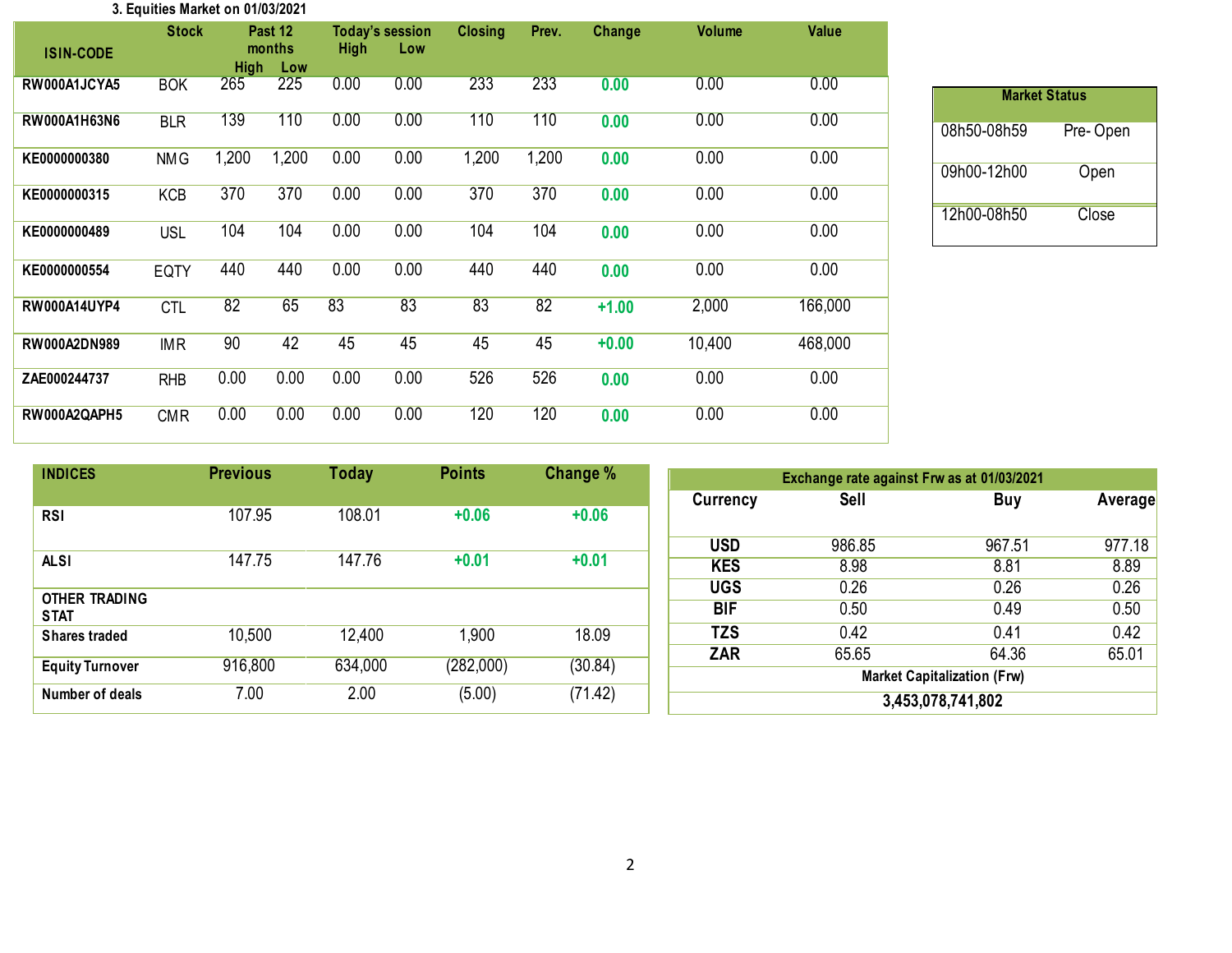#### **3. Equities Market on 01/03/2021**

| <b>ISIN-CODE</b>    | <b>Stock</b> | <b>High</b> | Past 12<br>months<br>Low | <b>High</b> | <b>Today's session</b><br>Low | <b>Closing</b> | Prev. | <b>Change</b> | <b>Volume</b> | <b>Value</b> |
|---------------------|--------------|-------------|--------------------------|-------------|-------------------------------|----------------|-------|---------------|---------------|--------------|
| RW000A1JCYA5        | <b>BOK</b>   | 265         | 225                      | 0.00        | 0.00                          | 233            | 233   | 0.00          | 0.00          | 0.00         |
| RW000A1H63N6        | <b>BLR</b>   | 139         | 110                      | 0.00        | 0.00                          | 110            | 110   | 0.00          | 0.00          | 0.00         |
| KE0000000380        | <b>NMG</b>   | 1,200       | 1,200                    | 0.00        | 0.00                          | 1,200          | 1,200 | 0.00          | 0.00          | 0.00         |
| KE0000000315        | <b>KCB</b>   | 370         | 370                      | 0.00        | 0.00                          | 370            | 370   | 0.00          | 0.00          | 0.00         |
| KE0000000489        | <b>USL</b>   | 104         | 104                      | 0.00        | 0.00                          | 104            | 104   | 0.00          | 0.00          | 0.00         |
| KE0000000554        | <b>EQTY</b>  | 440         | 440                      | 0.00        | 0.00                          | 440            | 440   | 0.00          | 0.00          | 0.00         |
| <b>RW000A14UYP4</b> | <b>CTL</b>   | 82          | 65                       | 83          | 83                            | 83             | 82    | $+1.00$       | 2,000         | 166,000      |
| RW000A2DN989        | <b>IMR</b>   | 90          | 42                       | 45          | 45                            | 45             | 45    | $+0.00$       | 10,400        | 468,000      |
| ZAE000244737        | <b>RHB</b>   | 0.00        | 0.00                     | 0.00        | 0.00                          | 526            | 526   | 0.00          | 0.00          | 0.00         |
| RW000A2QAPH5        | <b>CMR</b>   | 0.00        | 0.00                     | 0.00        | 0.00                          | 120            | 120   | 0.00          | 0.00          | 0.00         |

| <b>Market Status</b> |          |  |  |  |  |  |  |  |  |
|----------------------|----------|--|--|--|--|--|--|--|--|
| 08h50-08h59          | Pre-Open |  |  |  |  |  |  |  |  |
| 09h00-12h00          | Open     |  |  |  |  |  |  |  |  |
| 12h00-08h50          | Close    |  |  |  |  |  |  |  |  |

| <b>INDICES</b>                      | <b>Previous</b> | Today   | <b>Points</b> | Change % |            | Exchange rate against Frw as at 01/03/2021 |                                    |         |
|-------------------------------------|-----------------|---------|---------------|----------|------------|--------------------------------------------|------------------------------------|---------|
|                                     |                 |         |               |          | Currency   | Sell                                       | Buy                                | Average |
| <b>RSI</b>                          | 107.95          | 108.01  | $+0.06$       | $+0.06$  |            |                                            |                                    |         |
|                                     |                 |         |               |          | <b>USD</b> | 986.85                                     | 967.51                             | 977.18  |
| <b>ALSI</b>                         | 147.75          | 147.76  | $+0.01$       | $+0.01$  | <b>KES</b> | 8.98                                       | 8.81                               | 8.89    |
|                                     |                 |         |               |          | <b>UGS</b> | 0.26                                       | 0.26                               | 0.26    |
| <b>OTHER TRADING</b><br><b>STAT</b> |                 |         |               |          | <b>BIF</b> | 0.50                                       | 0.49                               | 0.50    |
| <b>Shares traded</b>                | 10,500          | 12,400  | 1,900         | 18.09    | <b>TZS</b> | 0.42                                       | 0.41                               | 0.42    |
|                                     |                 |         |               |          | <b>ZAR</b> | 65.65                                      | 64.36                              | 65.01   |
| <b>Equity Turnover</b>              | 916,800         | 634,000 | (282,000)     | (30.84)  |            |                                            | <b>Market Capitalization (Frw)</b> |         |
| Number of deals                     | 7.00            | 2.00    | (5.00)        | (71.42)  |            |                                            | 3,453,078,741,802                  |         |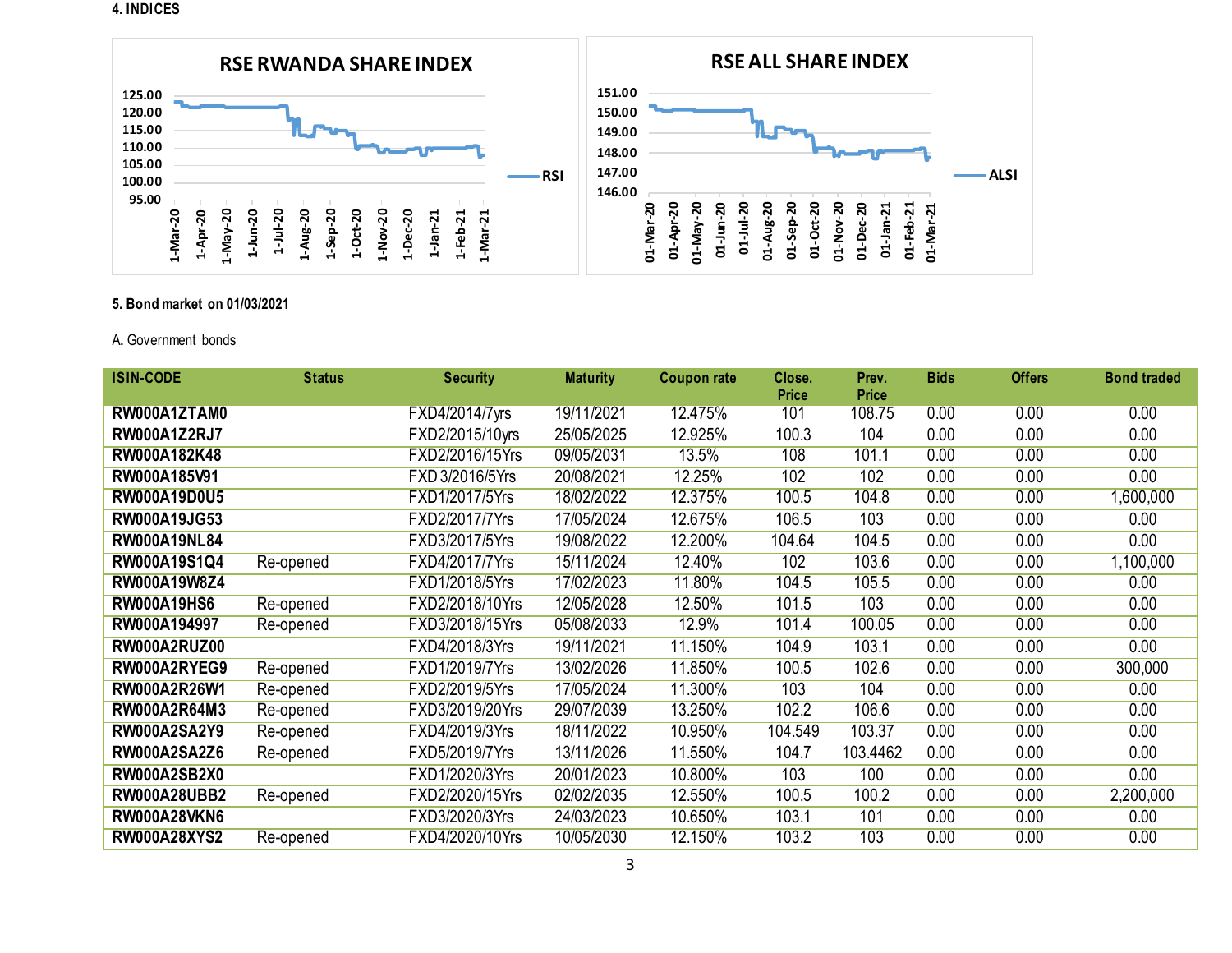#### **4. INDICES**



### **5. Bond market on 01/03/2021**

### A**.** Government bonds

| <b>ISIN-CODE</b>    | <b>Status</b> | <b>Security</b> | <b>Maturity</b> | Coupon rate | Close.<br>Price | Prev.<br><b>Price</b> | <b>Bids</b> | <b>Offers</b> | <b>Bond traded</b> |
|---------------------|---------------|-----------------|-----------------|-------------|-----------------|-----------------------|-------------|---------------|--------------------|
| RW000A1ZTAM0        |               | FXD4/2014/7yrs  | 19/11/2021      | 12.475%     | 101             | 108.75                | 0.00        | 0.00          | 0.00               |
| <b>RW000A1Z2RJ7</b> |               | FXD2/2015/10yrs | 25/05/2025      | 12.925%     | 100.3           | 104                   | 0.00        | 0.00          | 0.00               |
| RW000A182K48        |               | FXD2/2016/15Yrs | 09/05/2031      | 13.5%       | 108             | 101.1                 | 0.00        | 0.00          | 0.00               |
| RW000A185V91        |               | FXD 3/2016/5Yrs | 20/08/2021      | 12.25%      | 102             | 102                   | 0.00        | 0.00          | 0.00               |
| RW000A19D0U5        |               | FXD1/2017/5Yrs  | 18/02/2022      | 12.375%     | 100.5           | 104.8                 | 0.00        | 0.00          | 1,600,000          |
| RW000A19JG53        |               | FXD2/2017/7Yrs  | 17/05/2024      | 12.675%     | 106.5           | 103                   | 0.00        | 0.00          | 0.00               |
| <b>RW000A19NL84</b> |               | FXD3/2017/5Yrs  | 19/08/2022      | 12.200%     | 104.64          | 104.5                 | 0.00        | 0.00          | 0.00               |
| RW000A19S1Q4        | Re-opened     | FXD4/2017/7Yrs  | 15/11/2024      | 12.40%      | 102             | 103.6                 | 0.00        | 0.00          | 1,100,000          |
| RW000A19W8Z4        |               | FXD1/2018/5Yrs  | 17/02/2023      | 11.80%      | 104.5           | 105.5                 | 0.00        | 0.00          | 0.00               |
| <b>RW000A19HS6</b>  | Re-opened     | FXD2/2018/10Yrs | 12/05/2028      | 12.50%      | 101.5           | 103                   | 0.00        | 0.00          | 0.00               |
| RW000A194997        | Re-opened     | FXD3/2018/15Yrs | 05/08/2033      | 12.9%       | 101.4           | 100.05                | 0.00        | 0.00          | 0.00               |
| RW000A2RUZ00        |               | FXD4/2018/3Yrs  | 19/11/2021      | 11.150%     | 104.9           | 103.1                 | 0.00        | 0.00          | 0.00               |
| RW000A2RYEG9        | Re-opened     | FXD1/2019/7Yrs  | 13/02/2026      | 11.850%     | 100.5           | 102.6                 | 0.00        | 0.00          | 300,000            |
| <b>RW000A2R26W1</b> | Re-opened     | FXD2/2019/5Yrs  | 17/05/2024      | 11.300%     | 103             | 104                   | 0.00        | 0.00          | 0.00               |
| RW000A2R64M3        | Re-opened     | FXD3/2019/20Yrs | 29/07/2039      | 13.250%     | 102.2           | 106.6                 | 0.00        | 0.00          | 0.00               |
| <b>RW000A2SA2Y9</b> | Re-opened     | FXD4/2019/3Yrs  | 18/11/2022      | 10.950%     | 104.549         | 103.37                | 0.00        | 0.00          | 0.00               |
| <b>RW000A2SA2Z6</b> | Re-opened     | FXD5/2019/7Yrs  | 13/11/2026      | 11.550%     | 104.7           | 103.4462              | 0.00        | 0.00          | 0.00               |
| <b>RW000A2SB2X0</b> |               | FXD1/2020/3Yrs  | 20/01/2023      | 10.800%     | 103             | 100                   | 0.00        | 0.00          | 0.00               |
| <b>RW000A28UBB2</b> | Re-opened     | FXD2/2020/15Yrs | 02/02/2035      | 12.550%     | 100.5           | 100.2                 | 0.00        | 0.00          | 2,200,000          |
| <b>RW000A28VKN6</b> |               | FXD3/2020/3Yrs  | 24/03/2023      | 10.650%     | 103.1           | 101                   | 0.00        | 0.00          | 0.00               |
| <b>RW000A28XYS2</b> | Re-opened     | FXD4/2020/10Yrs | 10/05/2030      | 12.150%     | 103.2           | 103                   | 0.00        | 0.00          | 0.00               |